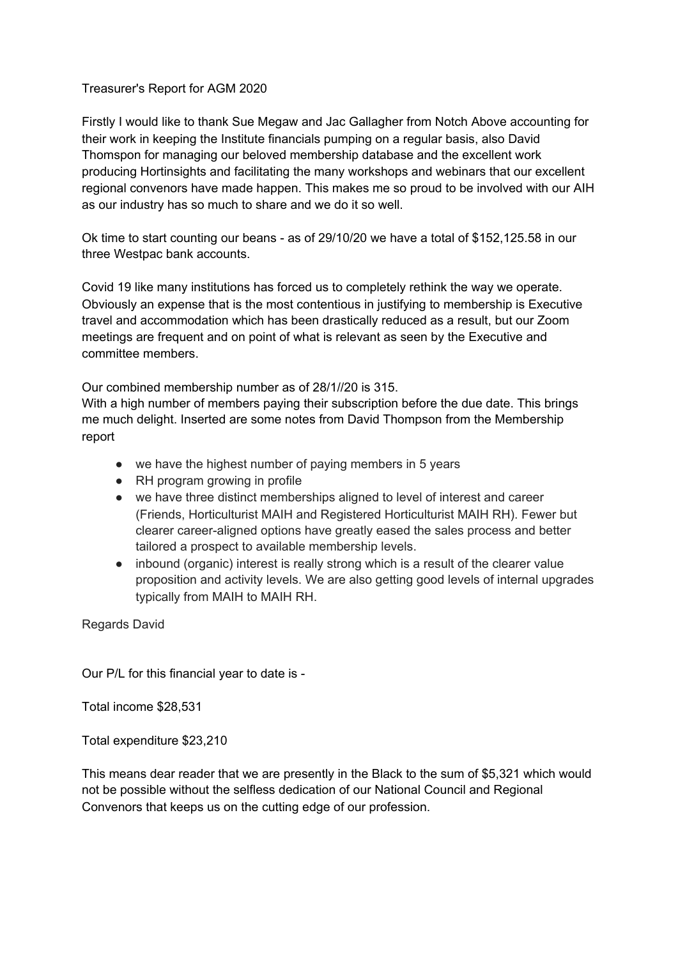## Treasurer's Report for AGM 2020

Firstly I would like to thank Sue Megaw and Jac Gallagher from Notch Above accounting for their work in keeping the Institute financials pumping on a regular basis, also David Thomspon for managing our beloved membership database and the excellent work producing Hortinsights and facilitating the many workshops and webinars that our excellent regional convenors have made happen. This makes me so proud to be involved with our AIH as our industry has so much to share and we do it so well.

Ok time to start counting our beans - as of 29/10/20 we have a total of \$152,125.58 in our three Westpac bank accounts.

Covid 19 like many institutions has forced us to completely rethink the way we operate. Obviously an expense that is the most contentious in justifying to membership is Executive travel and accommodation which has been drastically reduced as a result, but our Zoom meetings are frequent and on point of what is relevant as seen by the Executive and committee members.

Our combined membership number as of 28/1//20 is 315.

With a high number of members paying their subscription before the due date. This brings me much delight. Inserted are some notes from David Thompson from the Membership report

- we have the highest number of paying members in 5 years
- RH program growing in profile
- we have three distinct memberships aligned to level of interest and career (Friends, Horticulturist MAIH and Registered Horticulturist MAIH RH). Fewer but clearer career-aligned options have greatly eased the sales process and better tailored a prospect to available membership levels.
- inbound (organic) interest is really strong which is a result of the clearer value proposition and activity levels. We are also getting good levels of internal upgrades typically from MAIH to MAIH RH.

Regards David

Our P/L for this financial year to date is -

Total income \$28,531

Total expenditure \$23,210

This means dear reader that we are presently in the Black to the sum of \$5,321 which would not be possible without the selfless dedication of our National Council and Regional Convenors that keeps us on the cutting edge of our profession.